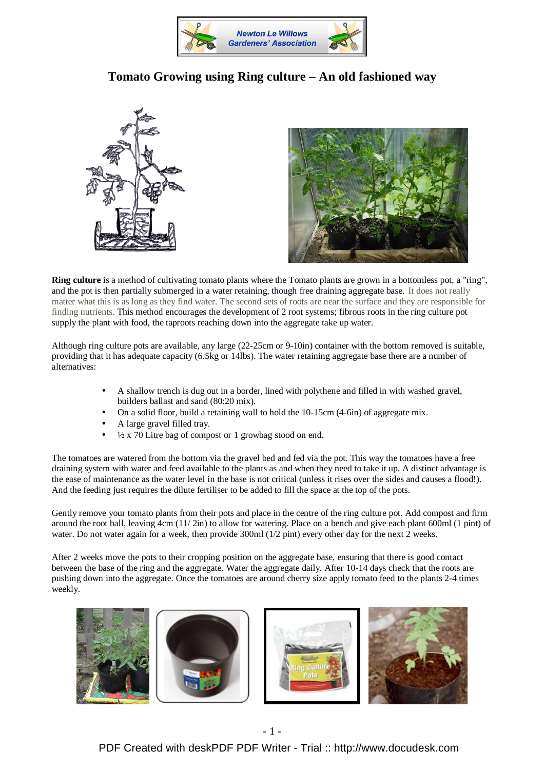

## **Tomato Growing using Ring culture – An old fashioned way**





**Ring culture** is a method of cultivating tomato plants where the Tomato plants are grown in a bottomless pot, a "ring", and the pot is then partially submerged in a water retaining, though free draining aggregate base. It does not really matter what this is as long as they find water. The second sets of roots are near the surface and they are responsible for finding nutrients. This method encourages the development of 2 root systems; fibrous roots in the ring culture pot supply the plant with food, the taproots reaching down into the aggregate take up water.

Although ring culture pots are available, any large (22-25cm or 9-10in) container with the bottom removed is suitable, providing that it has adequate capacity (6.5kg or 14lbs). The water retaining aggregate base there are a number of alternatives:

- A shallow trench is dug out in a border, lined with polythene and filled in with washed gravel, builders ballast and sand (80:20 mix).
- On a solid floor, build a retaining wall to hold the 10-15cm (4-6in) of aggregate mix.
- A large gravel filled tray.
- $\frac{1}{2}$  x 70 Litre bag of compost or 1 growbag stood on end.

The tomatoes are watered from the bottom via the gravel bed and fed via the pot. This way the tomatoes have a free draining system with water and feed available to the plants as and when they need to take it up. A distinct advantage is the ease of maintenance as the water level in the base is not critical (unless it rises over the sides and causes a flood!). And the feeding just requires the dilute fertiliser to be added to fill the space at the top of the pots.

Gently remove your tomato plants from their pots and place in the centre of the ring culture pot. Add compost and firm around the root ball, leaving 4cm (11/ 2in) to allow for watering. Place on a bench and give each plant 600ml (1 pint) of water. Do not water again for a week, then provide 300ml (1/2 pint) every other day for the next 2 weeks.

After 2 weeks move the pots to their cropping position on the aggregate base, ensuring that there is good contact between the base of the ring and the aggregate. Water the aggregate daily. After 10-14 days check that the roots are pushing down into the aggregate. Once the tomatoes are around cherry size apply tomato feed to the plants 2-4 times weekly.



[PDF Created with deskPDF PDF Writer - Trial :: http://www.docudesk.com](http://www.docudesk.com)